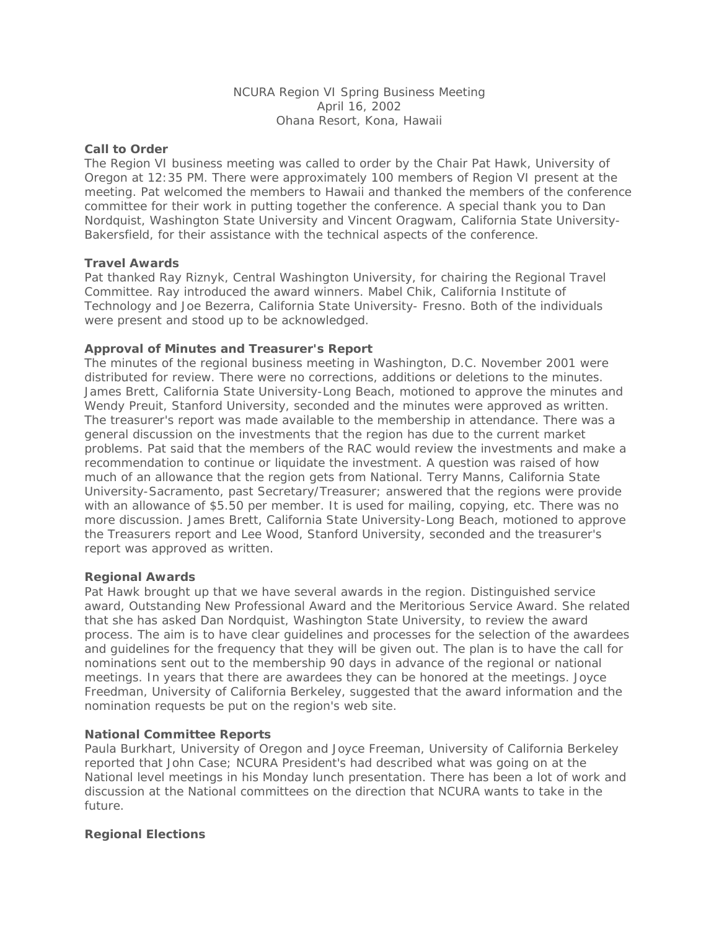# NCURA Region VI Spring Business Meeting April 16, 2002 Ohana Resort, Kona, Hawaii

### **Call to Order**

The Region VI business meeting was called to order by the Chair Pat Hawk, University of Oregon at 12:35 PM. There were approximately 100 members of Region VI present at the meeting. Pat welcomed the members to Hawaii and thanked the members of the conference committee for their work in putting together the conference. A special thank you to Dan Nordquist, Washington State University and Vincent Oragwam, California State University-Bakersfield, for their assistance with the technical aspects of the conference.

### **Travel Awards**

Pat thanked Ray Riznyk, Central Washington University, for chairing the Regional Travel Committee. Ray introduced the award winners. Mabel Chik, California Institute of Technology and Joe Bezerra, California State University- Fresno. Both of the individuals were present and stood up to be acknowledged.

### **Approval of Minutes and Treasurer's Report**

The minutes of the regional business meeting in Washington, D.C. November 2001 were distributed for review. There were no corrections, additions or deletions to the minutes. James Brett, California State University-Long Beach, motioned to approve the minutes and Wendy Preuit, Stanford University, seconded and the minutes were approved as written. The treasurer's report was made available to the membership in attendance. There was a general discussion on the investments that the region has due to the current market problems. Pat said that the members of the RAC would review the investments and make a recommendation to continue or liquidate the investment. A question was raised of how much of an allowance that the region gets from National. Terry Manns, California State University-Sacramento, past Secretary/Treasurer; answered that the regions were provide with an allowance of \$5.50 per member. It is used for mailing, copying, etc. There was no more discussion. James Brett, California State University-Long Beach, motioned to approve the Treasurers report and Lee Wood, Stanford University, seconded and the treasurer's report was approved as written.

#### **Regional Awards**

Pat Hawk brought up that we have several awards in the region. Distinguished service award, Outstanding New Professional Award and the Meritorious Service Award. She related that she has asked Dan Nordquist, Washington State University, to review the award process. The aim is to have clear guidelines and processes for the selection of the awardees and guidelines for the frequency that they will be given out. The plan is to have the call for nominations sent out to the membership 90 days in advance of the regional or national meetings. In years that there are awardees they can be honored at the meetings. Joyce Freedman, University of California Berkeley, suggested that the award information and the nomination requests be put on the region's web site.

#### **National Committee Reports**

Paula Burkhart, University of Oregon and Joyce Freeman, University of California Berkeley reported that John Case; NCURA President's had described what was going on at the National level meetings in his Monday lunch presentation. There has been a lot of work and discussion at the National committees on the direction that NCURA wants to take in the future.

#### **Regional Elections**